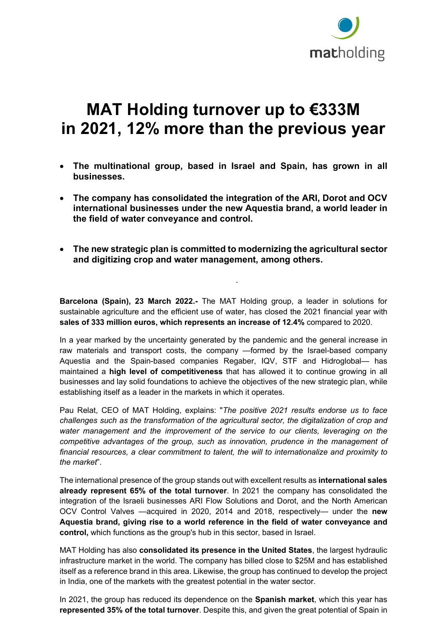

## **MAT Holding turnover up to €333M in 2021, 12% more than the previous year**

- **The multinational group, based in Israel and Spain, has grown in all businesses.**
- **The company has consolidated the integration of the ARI, Dorot and OCV international businesses under the new Aquestia brand, a world leader in the field of water conveyance and control.**
- **The new strategic plan is committed to modernizing the agricultural sector and digitizing crop and water management, among others.**

.

**Barcelona (Spain), 23 March 2022.-** The MAT Holding group, a leader in solutions for sustainable agriculture and the efficient use of water, has closed the 2021 financial year with **sales of 333 million euros, which represents an increase of 12.4%** compared to 2020.

In a year marked by the uncertainty generated by the pandemic and the general increase in raw materials and transport costs, the company —formed by the Israel-based company Aquestia and the Spain-based companies Regaber, IQV, STF and Hidroglobal— has maintained a **high level of competitiveness** that has allowed it to continue growing in all businesses and lay solid foundations to achieve the objectives of the new strategic plan, while establishing itself as a leader in the markets in which it operates.

Pau Relat, CEO of MAT Holding, explains: "*The positive 2021 results endorse us to face challenges such as the transformation of the agricultural sector, the digitalization of crop and water management and the improvement of the service to our clients, leveraging on the competitive advantages of the group, such as innovation, prudence in the management of financial resources, a clear commitment to talent, the will to internationalize and proximity to the market*".

The international presence of the group stands out with excellent results as **international sales already represent 65% of the total turnover**. In 2021 the company has consolidated the integration of the Israeli businesses ARI Flow Solutions and Dorot, and the North American OCV Control Valves —acquired in 2020, 2014 and 2018, respectively— under the **new Aquestia brand, giving rise to a world reference in the field of water conveyance and control,** which functions as the group's hub in this sector, based in Israel.

MAT Holding has also **consolidated its presence in the United States**, the largest hydraulic infrastructure market in the world. The company has billed close to \$25M and has established itself as a reference brand in this area. Likewise, the group has continued to develop the project in India, one of the markets with the greatest potential in the water sector.

In 2021, the group has reduced its dependence on the **Spanish market**, which this year has **represented 35% of the total turnover**. Despite this, and given the great potential of Spain in